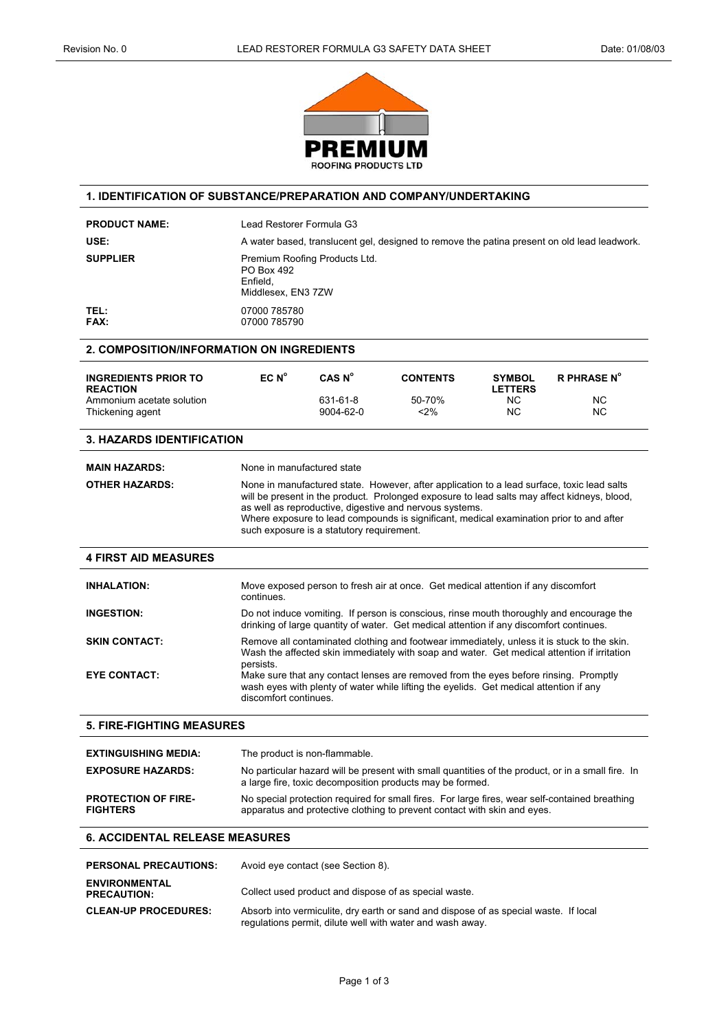

## **1. IDENTIFICATION OF SUBSTANCE/PREPARATION AND COMPANY/UNDERTAKING**

| <b>PRODUCT NAME:</b>                                                                            | Lead Restorer Formula G3                                                                                                                                                                                                                                                                       |                                           |                                                                                                                                                                                                                                                                                                                                                 |                                                    |                                                                                                |
|-------------------------------------------------------------------------------------------------|------------------------------------------------------------------------------------------------------------------------------------------------------------------------------------------------------------------------------------------------------------------------------------------------|-------------------------------------------|-------------------------------------------------------------------------------------------------------------------------------------------------------------------------------------------------------------------------------------------------------------------------------------------------------------------------------------------------|----------------------------------------------------|------------------------------------------------------------------------------------------------|
| USE:                                                                                            | A water based, translucent gel, designed to remove the patina present on old lead leadwork.                                                                                                                                                                                                    |                                           |                                                                                                                                                                                                                                                                                                                                                 |                                                    |                                                                                                |
| <b>SUPPLIER</b>                                                                                 | Premium Roofing Products Ltd.<br>PO Box 492<br>Enfield.<br>Middlesex, EN3 7ZW                                                                                                                                                                                                                  |                                           |                                                                                                                                                                                                                                                                                                                                                 |                                                    |                                                                                                |
| TEL:<br><b>FAX:</b>                                                                             | 07000 785780<br>07000 785790                                                                                                                                                                                                                                                                   |                                           |                                                                                                                                                                                                                                                                                                                                                 |                                                    |                                                                                                |
| 2. COMPOSITION/INFORMATION ON INGREDIENTS                                                       |                                                                                                                                                                                                                                                                                                |                                           |                                                                                                                                                                                                                                                                                                                                                 |                                                    |                                                                                                |
| <b>INGREDIENTS PRIOR TO</b><br><b>REACTION</b><br>Ammonium acetate solution<br>Thickening agent | EC N <sup>o</sup>                                                                                                                                                                                                                                                                              | CAS N°<br>631-61-8<br>9004-62-0           | <b>CONTENTS</b><br>50-70%<br>$2\%$                                                                                                                                                                                                                                                                                                              | <b>SYMBOL</b><br><b>LETTERS</b><br>ΝC<br><b>NC</b> | <b>R PHRASE N°</b><br>ΝC<br><b>NC</b>                                                          |
| <b>3. HAZARDS IDENTIFICATION</b>                                                                |                                                                                                                                                                                                                                                                                                |                                           |                                                                                                                                                                                                                                                                                                                                                 |                                                    |                                                                                                |
| <b>MAIN HAZARDS:</b>                                                                            | None in manufactured state                                                                                                                                                                                                                                                                     |                                           |                                                                                                                                                                                                                                                                                                                                                 |                                                    |                                                                                                |
| <b>OTHER HAZARDS:</b>                                                                           |                                                                                                                                                                                                                                                                                                | such exposure is a statutory requirement. | None in manufactured state. However, after application to a lead surface, toxic lead salts<br>will be present in the product. Prolonged exposure to lead salts may affect kidneys, blood,<br>as well as reproductive, digestive and nervous systems.<br>Where exposure to lead compounds is significant, medical examination prior to and after |                                                    |                                                                                                |
| <b>4 FIRST AID MEASURES</b>                                                                     |                                                                                                                                                                                                                                                                                                |                                           |                                                                                                                                                                                                                                                                                                                                                 |                                                    |                                                                                                |
| <b>INHALATION:</b>                                                                              | continues.                                                                                                                                                                                                                                                                                     |                                           | Move exposed person to fresh air at once. Get medical attention if any discomfort                                                                                                                                                                                                                                                               |                                                    |                                                                                                |
| <b>INGESTION:</b>                                                                               |                                                                                                                                                                                                                                                                                                |                                           | Do not induce vomiting. If person is conscious, rinse mouth thoroughly and encourage the<br>drinking of large quantity of water. Get medical attention if any discomfort continues.                                                                                                                                                             |                                                    |                                                                                                |
| <b>SKIN CONTACT:</b>                                                                            | Remove all contaminated clothing and footwear immediately, unless it is stuck to the skin.<br>Wash the affected skin immediately with soap and water. Get medical attention if irritation<br>persists.<br>Make sure that any contact lenses are removed from the eyes before rinsing. Promptly |                                           |                                                                                                                                                                                                                                                                                                                                                 |                                                    |                                                                                                |
| <b>EYE CONTACT:</b>                                                                             | discomfort continues.                                                                                                                                                                                                                                                                          |                                           | wash eyes with plenty of water while lifting the eyelids. Get medical attention if any                                                                                                                                                                                                                                                          |                                                    |                                                                                                |
| <b>5. FIRE-FIGHTING MEASURES</b>                                                                |                                                                                                                                                                                                                                                                                                |                                           |                                                                                                                                                                                                                                                                                                                                                 |                                                    |                                                                                                |
| <b>EXTINGUISHING MEDIA:</b>                                                                     | The product is non-flammable.                                                                                                                                                                                                                                                                  |                                           |                                                                                                                                                                                                                                                                                                                                                 |                                                    |                                                                                                |
| <b>EXPOSURE HAZARDS:</b>                                                                        | No particular hazard will be present with small quantities of the product, or in a small fire. In<br>a large fire, toxic decomposition products may be formed.                                                                                                                                 |                                           |                                                                                                                                                                                                                                                                                                                                                 |                                                    |                                                                                                |
| <b>PROTECTION OF FIRE-</b><br><b>FIGHTERS</b>                                                   |                                                                                                                                                                                                                                                                                                |                                           | apparatus and protective clothing to prevent contact with skin and eyes.                                                                                                                                                                                                                                                                        |                                                    | No special protection required for small fires. For large fires, wear self-contained breathing |
| <b>6. ACCIDENTAL RELEASE MEASURES</b>                                                           |                                                                                                                                                                                                                                                                                                |                                           |                                                                                                                                                                                                                                                                                                                                                 |                                                    |                                                                                                |
| <b>PERSONAL PRECAUTIONS:</b>                                                                    |                                                                                                                                                                                                                                                                                                | Avoid eye contact (see Section 8).        |                                                                                                                                                                                                                                                                                                                                                 |                                                    |                                                                                                |
| <b>ENVIRONMENTAL</b><br><b>PRECAUTION:</b>                                                      |                                                                                                                                                                                                                                                                                                |                                           | Collect used product and dispose of as special waste.                                                                                                                                                                                                                                                                                           |                                                    |                                                                                                |

**CLEAN-UP PROCEDURES:** Absorb into vermiculite, dry earth or sand and dispose of as special waste. If local regulations permit, dilute well with water and wash away.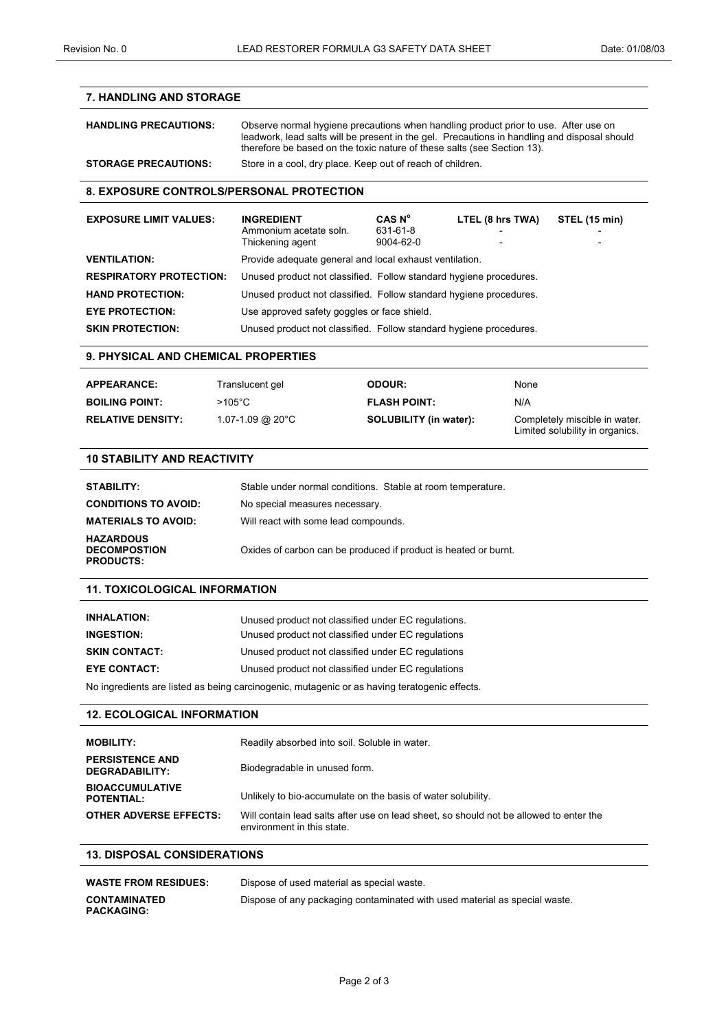# **7. HANDLING AND STORAGE**

| <b>HANDLING PRECAUTIONS:</b> | Observe normal hygiene precautions when handling product prior to use. After use on<br>leadwork, lead salts will be present in the gel. Precautions in handling and disposal should<br>therefore be based on the toxic nature of these salts (see Section 13). |
|------------------------------|----------------------------------------------------------------------------------------------------------------------------------------------------------------------------------------------------------------------------------------------------------------|
| <b>STORAGE PRECAUTIONS:</b>  | Store in a cool, dry place. Keep out of reach of children.                                                                                                                                                                                                     |

#### **8. EXPOSURE CONTROLS/PERSONAL PROTECTION**

| <b>EXPOSURE LIMIT VALUES:</b>  | <b>INGREDIENT</b><br>Ammonium acetate soln.<br>Thickening agent    | CAS N <sup>o</sup><br>631-61-8<br>$9004 - 62 - 0$ | LTEL (8 hrs TWA)<br>- | STEL (15 min)<br>$\overline{\phantom{a}}$ |
|--------------------------------|--------------------------------------------------------------------|---------------------------------------------------|-----------------------|-------------------------------------------|
| <b>VENTILATION:</b>            | Provide adequate general and local exhaust ventilation.            |                                                   |                       |                                           |
| <b>RESPIRATORY PROTECTION:</b> | Unused product not classified. Follow standard hygiene procedures. |                                                   |                       |                                           |
| <b>HAND PROTECTION:</b>        | Unused product not classified. Follow standard hygiene procedures. |                                                   |                       |                                           |
| <b>EYE PROTECTION:</b>         | Use approved safety goggles or face shield.                        |                                                   |                       |                                           |
| <b>SKIN PROTECTION:</b>        | Unused product not classified. Follow standard hygiene procedures. |                                                   |                       |                                           |

## **9. PHYSICAL AND CHEMICAL PROPERTIES**

| <b>APPEARANCE:</b>       | Translucent gel       | <b>ODOUR:</b>                 | None                                                             |
|--------------------------|-----------------------|-------------------------------|------------------------------------------------------------------|
| <b>BOILING POINT:</b>    | $>105^{\circ}$ C      | <b>FLASH POINT:</b>           | N/A                                                              |
| <b>RELATIVE DENSITY:</b> | $1.07 - 1.09$ @ 20 °C | <b>SOLUBILITY (in water):</b> | Completely miscible in water.<br>Limited solubility in organics. |

## **10 STABILITY AND REACTIVITY**

| <b>STABILITY:</b>                                           | Stable under normal conditions. Stable at room temperature.     |
|-------------------------------------------------------------|-----------------------------------------------------------------|
| <b>CONDITIONS TO AVOID:</b>                                 | No special measures necessary.                                  |
| <b>MATERIALS TO AVOID:</b>                                  | Will react with some lead compounds.                            |
| <b>HAZARDOUS</b><br><b>DECOMPOSTION</b><br><b>PRODUCTS:</b> | Oxides of carbon can be produced if product is heated or burnt. |

# **11. TOXICOLOGICAL INFORMATION**

| <b>INHALATION:</b>                                                                           | Unused product not classified under EC regulations. |  |
|----------------------------------------------------------------------------------------------|-----------------------------------------------------|--|
| <b>INGESTION:</b>                                                                            | Unused product not classified under EC regulations  |  |
| <b>SKIN CONTACT:</b>                                                                         | Unused product not classified under EC regulations  |  |
| <b>EYE CONTACT:</b>                                                                          | Unused product not classified under EC regulations  |  |
| No ingredients are listed as being carcinogenic, mutagenic or as having teratogenic effects. |                                                     |  |

#### **12. ECOLOGICAL INFORMATION**

| <b>MOBILITY:</b>                            | Readily absorbed into soil. Soluble in water.                                                                        |
|---------------------------------------------|----------------------------------------------------------------------------------------------------------------------|
| <b>PERSISTENCE AND</b><br>DEGRADABILITY:    | Biodegradable in unused form.                                                                                        |
| <b>BIOACCUMULATIVE</b><br><b>POTENTIAL:</b> | Unlikely to bio-accumulate on the basis of water solubility.                                                         |
| <b>OTHER ADVERSE EFFECTS:</b>               | Will contain lead salts after use on lead sheet, so should not be allowed to enter the<br>environment in this state. |

## **13. DISPOSAL CONSIDERATIONS**

| <b>WASTE FROM RESIDUES:</b>              | Dispose of used material as special waste.                                 |
|------------------------------------------|----------------------------------------------------------------------------|
| <b>CONTAMINATED</b><br><b>PACKAGING:</b> | Dispose of any packaging contaminated with used material as special waste. |